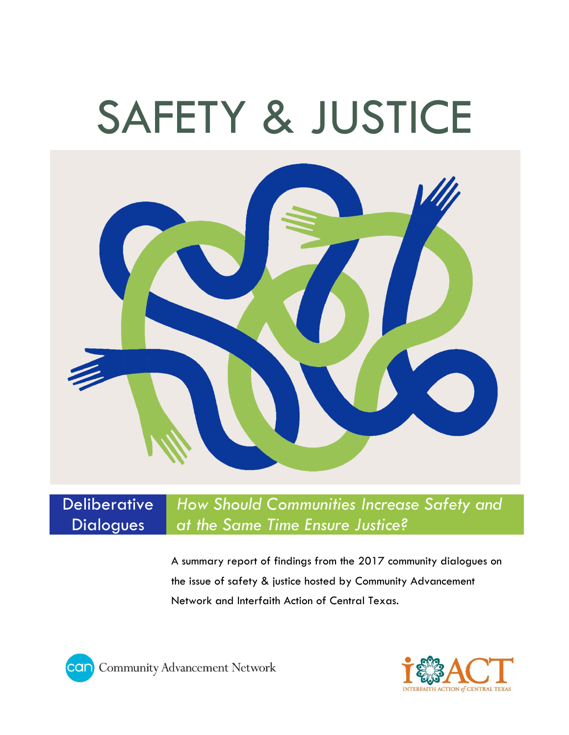# SAFETY & JUSTICE



## **Deliberative Dialogues**

*How Should Communities Increase Safety and at the Same Time Ensure Justice?*

A summary report of findings from the 2017 community dialogues on the issue of safety & justice hosted by Community Advancement Network and Interfaith Action of Central Texas.



**COID** Community Advancement Network

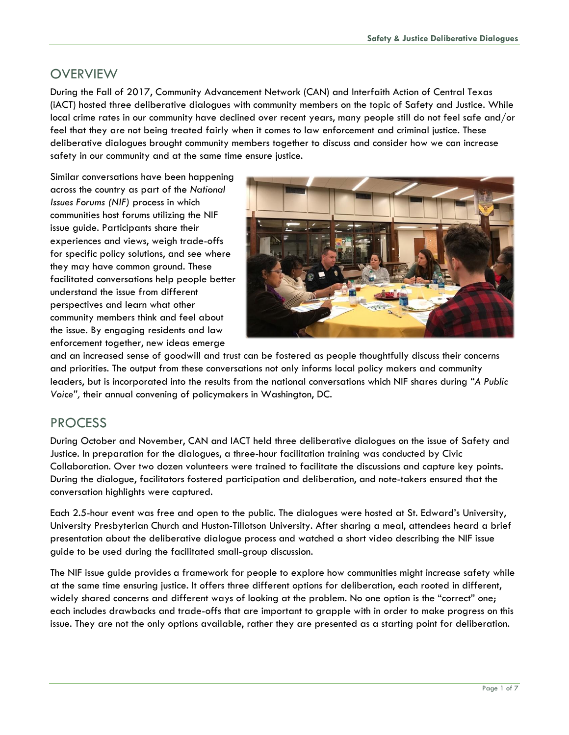## **OVERVIEW**

During the Fall of 2017, Community Advancement Network (CAN) and Interfaith Action of Central Texas (iACT) hosted three deliberative dialogues with community members on the topic of Safety and Justice. While local crime rates in our community have declined over recent years, many people still do not feel safe and/or feel that they are not being treated fairly when it comes to law enforcement and criminal justice. These deliberative dialogues brought community members together to discuss and consider how we can increase safety in our community and at the same time ensure justice.

Similar conversations have been happening across the country as part of the *National Issues Forums (NIF)* process in which communities host forums utilizing the NIF issue guide. Participants share their experiences and views, weigh trade-offs for specific policy solutions, and see where they may have common ground. These facilitated conversations help people better understand the issue from different perspectives and learn what other community members think and feel about the issue. By engaging residents and law enforcement together, new ideas emerge



and an increased sense of goodwill and trust can be fostered as people thoughtfully discuss their concerns and priorities. The output from these conversations not only informs local policy makers and community leaders, but is incorporated into the results from the national conversations which NIF shares during *"A Public Voice",* their annual convening of policymakers in Washington, DC.

## PROCESS

During October and November, CAN and IACT held three deliberative dialogues on the issue of Safety and Justice. In preparation for the dialogues, a three-hour facilitation training was conducted by Civic Collaboration. Over two dozen volunteers were trained to facilitate the discussions and capture key points. During the dialogue, facilitators fostered participation and deliberation, and note-takers ensured that the conversation highlights were captured.

Each 2.5-hour event was free and open to the public. The dialogues were hosted at St. Edward's University, University Presbyterian Church and Huston-Tillotson University. After sharing a meal, attendees heard a brief presentation about the deliberative dialogue process and watched a short video describing the NIF issue guide to be used during the facilitated small-group discussion.

The NIF issue guide provides a framework for people to explore how communities might increase safety while at the same time ensuring justice. It offers three different options for deliberation, each rooted in different, widely shared concerns and different ways of looking at the problem. No one option is the "correct" one; each includes drawbacks and trade-offs that are important to grapple with in order to make progress on this issue. They are not the only options available, rather they are presented as a starting point for deliberation.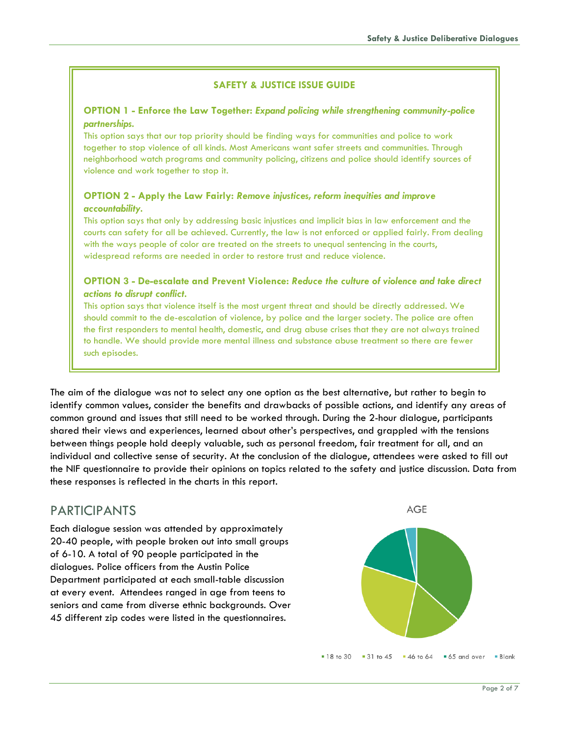#### **SAFETY & JUSTICE ISSUE GUIDE**

#### **OPTION 1 - Enforce the Law Together:** *Expand policing while strengthening community-police partnerships.*

This option says that our top priority should be finding ways for communities and police to work together to stop violence of all kinds. Most Americans want safer streets and communities. Through neighborhood watch programs and community policing, citizens and police should identify sources of violence and work together to stop it.

#### **OPTION 2 - Apply the Law Fairly:** *Remove injustices, reform inequities and improve accountability.*

This option says that only by addressing basic injustices and implicit bias in law enforcement and the courts can safety for all be achieved. Currently, the law is not enforced or applied fairly. From dealing with the ways people of color are treated on the streets to unequal sentencing in the courts, widespread reforms are needed in order to restore trust and reduce violence.

#### **OPTION 3 - De-escalate and Prevent Violence:** *Reduce the culture of violence and take direct actions to disrupt conflict.*

This option says that violence itself is the most urgent threat and should be directly addressed. We should commit to the de-escalation of violence, by police and the larger society. The police are often the first responders to mental health, domestic, and drug abuse crises that they are not always trained to handle. We should provide more mental illness and substance abuse treatment so there are fewer such episodes.

The aim of the dialogue was not to select any one option as the best alternative, but rather to begin to identify common values, consider the benefits and drawbacks of possible actions, and identify any areas of common ground and issues that still need to be worked through. During the 2-hour dialogue, participants shared their views and experiences, learned about other's perspectives, and grappled with the tensions between things people hold deeply valuable, such as personal freedom, fair treatment for all, and an individual and collective sense of security. At the conclusion of the dialogue, attendees were asked to fill out the NIF questionnaire to provide their opinions on topics related to the safety and justice discussion. Data from these responses is reflected in the charts in this report.

### PARTICIPANTS

Each dialogue session was attended by approximately 20-40 people, with people broken out into small groups of 6-10. A total of 90 people participated in the dialogues. Police officers from the Austin Police Department participated at each small-table discussion at every event. Attendees ranged in age from teens to seniors and came from diverse ethnic backgrounds. Over 45 different zip codes were listed in the questionnaires.

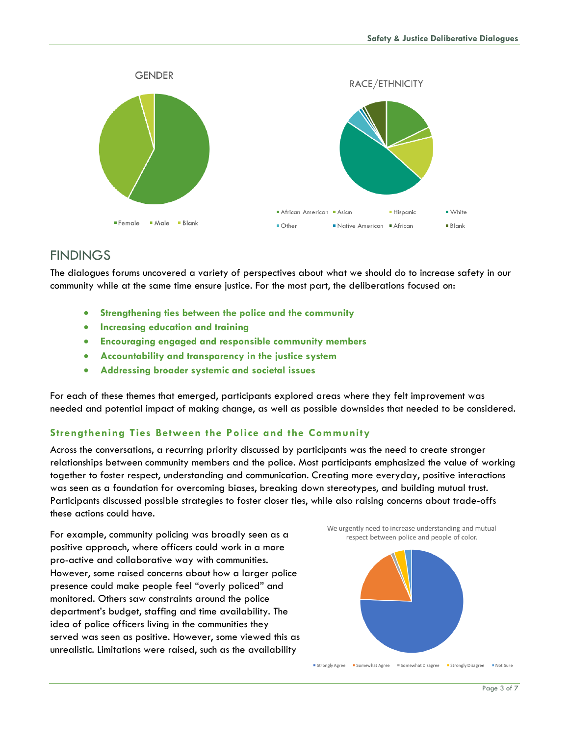

## **FINDINGS**

The dialogues forums uncovered a variety of perspectives about what we should do to increase safety in our community while at the same time ensure justice. For the most part, the deliberations focused on:

- **Strengthening ties between the police and the community**
- **Increasing education and training**
- **Encouraging engaged and responsible community members**
- **Accountability and transparency in the justice system**
- **Addressing broader systemic and societal issues**

For each of these themes that emerged, participants explored areas where they felt improvement was needed and potential impact of making change, as well as possible downsides that needed to be considered.

#### **Strengthening Ties Between the Police and the Community**

Across the conversations, a recurring priority discussed by participants was the need to create stronger relationships between community members and the police. Most participants emphasized the value of working together to foster respect, understanding and communication. Creating more everyday, positive interactions was seen as a foundation for overcoming biases, breaking down stereotypes, and building mutual trust. Participants discussed possible strategies to foster closer ties, while also raising concerns about trade-offs these actions could have.

For example, community policing was broadly seen as a positive approach, where officers could work in a more pro-active and collaborative way with communities. However, some raised concerns about how a larger police presence could make people feel "overly policed" and monitored. Others saw constraints around the police department's budget, staffing and time availability. The idea of police officers living in the communities they served was seen as positive. However, some viewed this as unrealistic. Limitations were raised, such as the availability



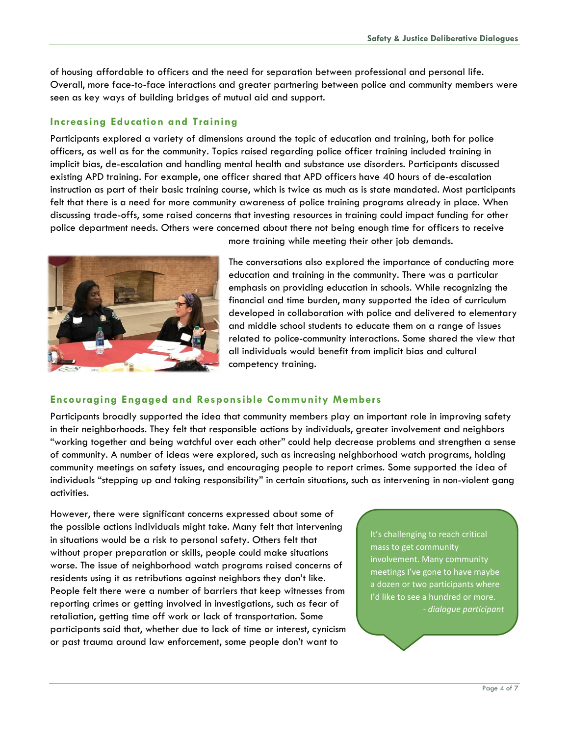of housing affordable to officers and the need for separation between professional and personal life. Overall, more face-to-face interactions and greater partnering between police and community members were seen as key ways of building bridges of mutual aid and support.

#### **Increasing Education and Training**

Participants explored a variety of dimensions around the topic of education and training, both for police officers, as well as for the community. Topics raised regarding police officer training included training in implicit bias, de-escalation and handling mental health and substance use disorders. Participants discussed existing APD training. For example, one officer shared that APD officers have 40 hours of de-escalation instruction as part of their basic training course, which is twice as much as is state mandated. Most participants felt that there is a need for more community awareness of police training programs already in place. When discussing trade-offs, some raised concerns that investing resources in training could impact funding for other police department needs. Others were concerned about there not being enough time for officers to receive



more training while meeting their other job demands.

The conversations also explored the importance of conducting more education and training in the community. There was a particular emphasis on providing education in schools. While recognizing the financial and time burden, many supported the idea of curriculum developed in collaboration with police and delivered to elementary and middle school students to educate them on a range of issues related to police-community interactions. Some shared the view that all individuals would benefit from implicit bias and cultural competency training.

#### **Encouraging Engaged and Responsible Community Members**

Participants broadly supported the idea that community members play an important role in improving safety in their neighborhoods. They felt that responsible actions by individuals, greater involvement and neighbors "working together and being watchful over each other" could help decrease problems and strengthen a sense of community. A number of ideas were explored, such as increasing neighborhood watch programs, holding community meetings on safety issues, and encouraging people to report crimes. Some supported the idea of individuals "stepping up and taking responsibility" in certain situations, such as intervening in non-violent gang activities.

However, there were significant concerns expressed about some of the possible actions individuals might take. Many felt that intervening in situations would be a risk to personal safety. Others felt that without proper preparation or skills, people could make situations worse. The issue of neighborhood watch programs raised concerns of residents using it as retributions against neighbors they don't like. People felt there were a number of barriers that keep witnesses from reporting crimes or getting involved in investigations, such as fear of retaliation, getting time off work or lack of transportation. Some participants said that, whether due to lack of time or interest, cynicism or past trauma around law enforcement, some people don't want to

It's challenging to reach critical mass to get community involvement. Many community meetings I've gone to have maybe a dozen or two participants where I'd like to see a hundred or more. *- dialogue participant*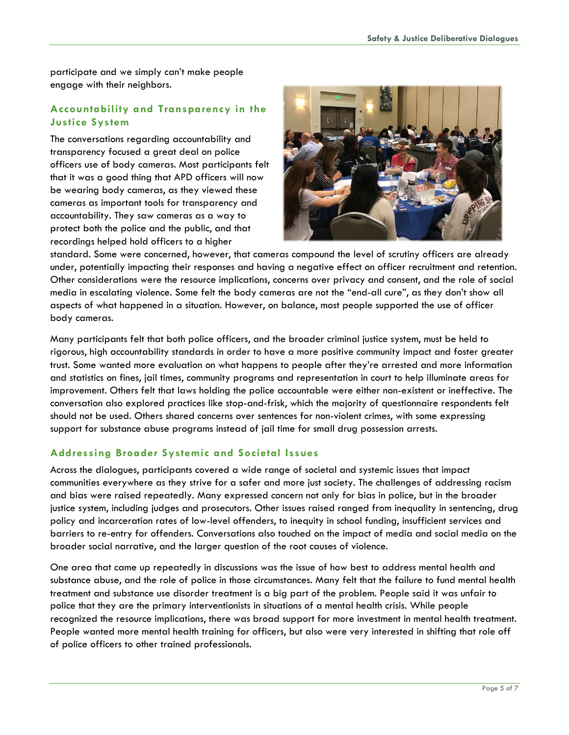participate and we simply can't make people engage with their neighbors.

#### **Accountability and Transparency in the Justice System**

The conversations regarding accountability and transparency focused a great deal on police officers use of body cameras. Most participants felt that it was a good thing that APD officers will now be wearing body cameras, as they viewed these cameras as important tools for transparency and accountability. They saw cameras as a way to protect both the police and the public, and that recordings helped hold officers to a higher



standard. Some were concerned, however, that cameras compound the level of scrutiny officers are already under, potentially impacting their responses and having a negative effect on officer recruitment and retention. Other considerations were the resource implications, concerns over privacy and consent, and the role of social media in escalating violence. Some felt the body cameras are not the "end-all cure", as they don't show all aspects of what happened in a situation. However, on balance, most people supported the use of officer body cameras.

Many participants felt that both police officers, and the broader criminal justice system, must be held to rigorous, high accountability standards in order to have a more positive community impact and foster greater trust. Some wanted more evaluation on what happens to people after they're arrested and more information and statistics on fines, jail times, community programs and representation in court to help illuminate areas for improvement. Others felt that laws holding the police accountable were either non-existent or ineffective. The conversation also explored practices like stop-and-frisk, which the majority of questionnaire respondents felt should not be used. Others shared concerns over sentences for non-violent crimes, with some expressing support for substance abuse programs instead of jail time for small drug possession arrests.

#### **Addressing Broader Systemic and Societal Issues**

Across the dialogues, participants covered a wide range of societal and systemic issues that impact communities everywhere as they strive for a safer and more just society. The challenges of addressing racism and bias were raised repeatedly. Many expressed concern not only for bias in police, but in the broader justice system, including judges and prosecutors. Other issues raised ranged from inequality in sentencing, drug policy and incarceration rates of low-level offenders, to inequity in school funding, insufficient services and barriers to re-entry for offenders. Conversations also touched on the impact of media and social media on the broader social narrative, and the larger question of the root causes of violence.

One area that came up repeatedly in discussions was the issue of how best to address mental health and substance abuse, and the role of police in those circumstances. Many felt that the failure to fund mental health treatment and substance use disorder treatment is a big part of the problem. People said it was unfair to police that they are the primary interventionists in situations of a mental health crisis. While people recognized the resource implications, there was broad support for more investment in mental health treatment. People wanted more mental health training for officers, but also were very interested in shifting that role off of police officers to other trained professionals.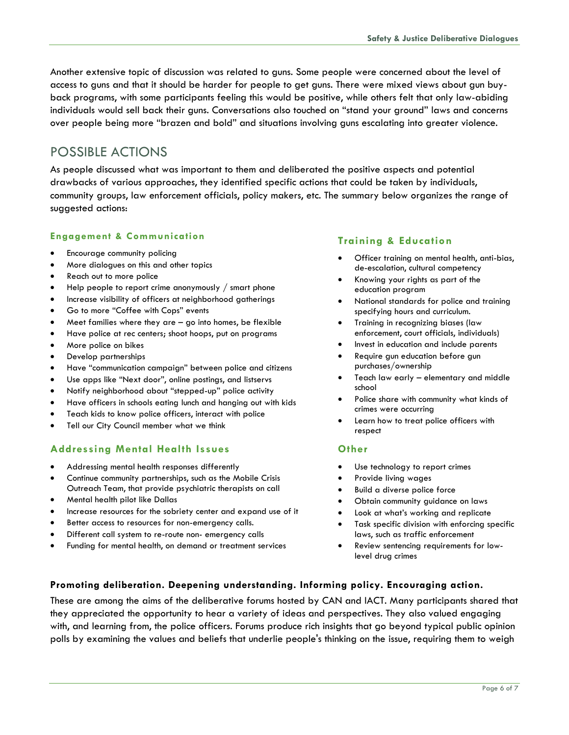Another extensive topic of discussion was related to guns. Some people were concerned about the level of access to guns and that it should be harder for people to get guns. There were mixed views about gun buyback programs, with some participants feeling this would be positive, while others felt that only law-abiding individuals would sell back their guns. Conversations also touched on "stand your ground" laws and concerns over people being more "brazen and bold" and situations involving guns escalating into greater violence.

## POSSIBLE ACTIONS

As people discussed what was important to them and deliberated the positive aspects and potential drawbacks of various approaches, they identified specific actions that could be taken by individuals, community groups, law enforcement officials, policy makers, etc. The summary below organizes the range of suggested actions:

#### **Engagement & Communication**

- Encourage community policing
- More dialogues on this and other topics
- Reach out to more police
- Help people to report crime anonymously / smart phone
- Increase visibility of officers at neighborhood gatherings
- Go to more "Coffee with Cops" events
- Meet families where they are go into homes, be flexible
- Have police at rec centers; shoot hoops, put on programs
- More police on bikes
- Develop partnerships
- Have "communication campaign" between police and citizens
- Use apps like "Next door", online postings, and listservs
- Notify neighborhood about "stepped-up" police activity
- Have officers in schools eating lunch and hanging out with kids
- Teach kids to know police officers, interact with police
- Tell our City Council member what we think

#### **Addressing Mental Health Issues**

- Addressing mental health responses differently
- Continue community partnerships, such as the Mobile Crisis Outreach Team, that provide psychiatric therapists on call
- Mental health pilot like Dallas
- Increase resources for the sobriety center and expand use of it
- Better access to resources for non-emergency calls.
- Different call system to re-route non- emergency calls
- Funding for mental health, on demand or treatment services

#### **Training & Education**

- Officer training on mental health, anti-bias, de-escalation, cultural competency
- Knowing your rights as part of the education program
- National standards for police and training specifying hours and curriculum.
- Training in recognizing biases (law enforcement, court officials, individuals)
- Invest in education and include parents
- Require gun education before gun purchases/ownership
- Teach law early elementary and middle school
- Police share with community what kinds of crimes were occurring
- Learn how to treat police officers with respect

#### **Other**

- Use technology to report crimes
- Provide living wages
- Build a diverse police force
- Obtain community guidance on laws
- Look at what's working and replicate
- Task specific division with enforcing specific laws, such as traffic enforcement
- Review sentencing requirements for lowlevel drug crimes

#### **Promoting deliberation. Deepening understanding. Informing policy. Encouraging action.**

These are among the aims of the deliberative forums hosted by CAN and IACT. Many participants shared that they appreciated the opportunity to hear a variety of ideas and perspectives. They also valued engaging with, and learning from, the police officers. Forums produce rich insights that go beyond typical public opinion polls by examining the values and beliefs that underlie people's thinking on the issue, requiring them to weigh